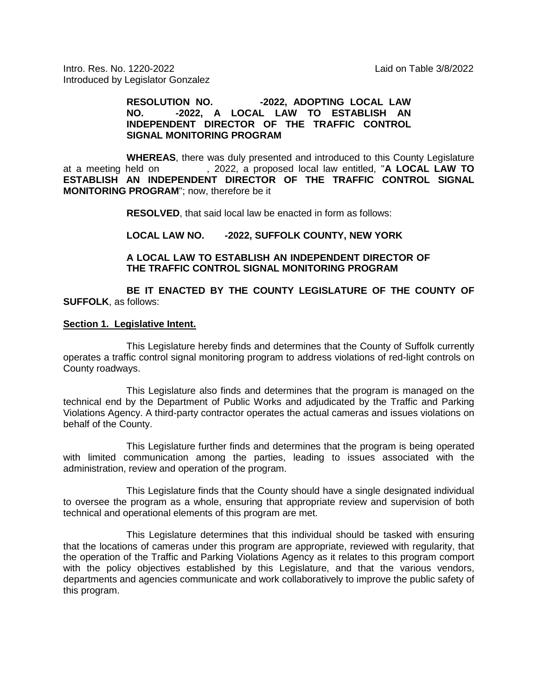Intro. Res. No. 1220-2022 Laid on Table 3/8/2022 Introduced by Legislator Gonzalez

#### **RESOLUTION NO.** -2022, ADOPTING LOCAL LAW<br>
NO. -2022. A LOCAL LAW TO ESTABLISH AN **NO. -2022, A LOCAL LAW TO ESTABLISH AN INDEPENDENT DIRECTOR OF THE TRAFFIC CONTROL SIGNAL MONITORING PROGRAM**

**WHEREAS**, there was duly presented and introduced to this County Legislature<br>at a meeting held on , 2022, a proposed local law entitled, "**A LOCAL LAW TO** , 2022, a proposed local law entitled, "A LOCAL LAW TO **ESTABLISH AN INDEPENDENT DIRECTOR OF THE TRAFFIC CONTROL SIGNAL MONITORING PROGRAM**"; now, therefore be it

**RESOLVED**, that said local law be enacted in form as follows:

### **LOCAL LAW NO. -2022, SUFFOLK COUNTY, NEW YORK**

#### **A LOCAL LAW TO ESTABLISH AN INDEPENDENT DIRECTOR OF THE TRAFFIC CONTROL SIGNAL MONITORING PROGRAM**

**BE IT ENACTED BY THE COUNTY LEGISLATURE OF THE COUNTY OF SUFFOLK**, as follows:

#### **Section 1. Legislative Intent.**

This Legislature hereby finds and determines that the County of Suffolk currently operates a traffic control signal monitoring program to address violations of red-light controls on County roadways.

This Legislature also finds and determines that the program is managed on the technical end by the Department of Public Works and adjudicated by the Traffic and Parking Violations Agency. A third-party contractor operates the actual cameras and issues violations on behalf of the County.

This Legislature further finds and determines that the program is being operated with limited communication among the parties, leading to issues associated with the administration, review and operation of the program.

This Legislature finds that the County should have a single designated individual to oversee the program as a whole, ensuring that appropriate review and supervision of both technical and operational elements of this program are met.

This Legislature determines that this individual should be tasked with ensuring that the locations of cameras under this program are appropriate, reviewed with regularity, that the operation of the Traffic and Parking Violations Agency as it relates to this program comport with the policy objectives established by this Legislature, and that the various vendors, departments and agencies communicate and work collaboratively to improve the public safety of this program.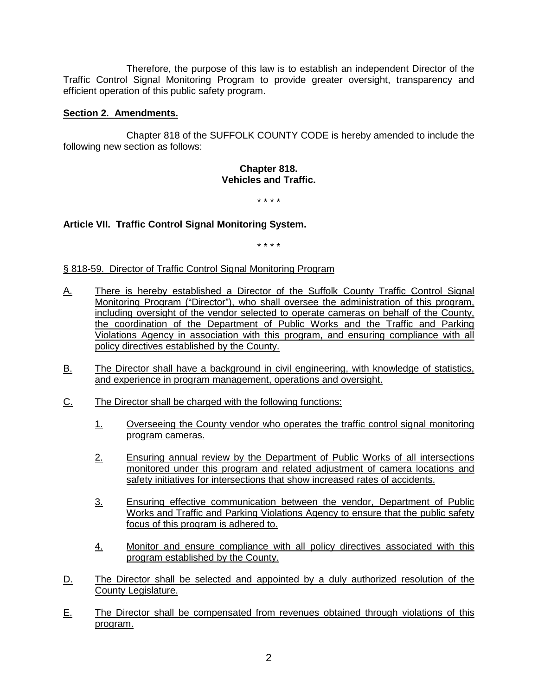Therefore, the purpose of this law is to establish an independent Director of the Traffic Control Signal Monitoring Program to provide greater oversight, transparency and efficient operation of this public safety program.

# **Section 2. Amendments.**

Chapter 818 of the SUFFOLK COUNTY CODE is hereby amended to include the following new section as follows:

#### **Chapter 818. Vehicles and Traffic.**

\* \* \* \*

# **Article VII. Traffic Control Signal Monitoring System.**

\* \* \* \*

## § 818-59. Director of Traffic Control Signal Monitoring Program

- A. There is hereby established a Director of the Suffolk County Traffic Control Signal Monitoring Program ("Director"), who shall oversee the administration of this program, including oversight of the vendor selected to operate cameras on behalf of the County, the coordination of the Department of Public Works and the Traffic and Parking Violations Agency in association with this program, and ensuring compliance with all policy directives established by the County.
- B. The Director shall have a background in civil engineering, with knowledge of statistics, and experience in program management, operations and oversight.
- C. The Director shall be charged with the following functions:
	- 1. Overseeing the County vendor who operates the traffic control signal monitoring program cameras.
	- 2. Ensuring annual review by the Department of Public Works of all intersections monitored under this program and related adjustment of camera locations and safety initiatives for intersections that show increased rates of accidents.
	- 3. Ensuring effective communication between the vendor, Department of Public Works and Traffic and Parking Violations Agency to ensure that the public safety focus of this program is adhered to.
	- 4. Monitor and ensure compliance with all policy directives associated with this program established by the County.
- D. The Director shall be selected and appointed by a duly authorized resolution of the County Legislature.
- E. The Director shall be compensated from revenues obtained through violations of this program.